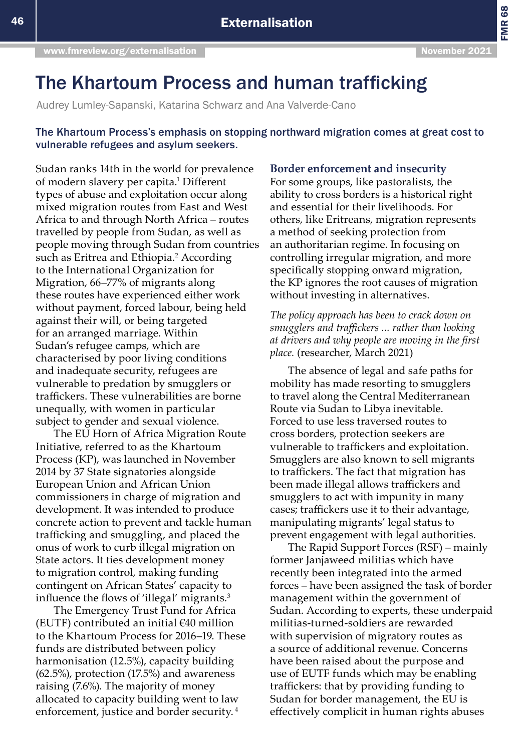FMR 68

# The Khartoum Process and human trafficking

Audrey Lumley-Sapanski, Katarina Schwarz and Ana Valverde-Cano

# The Khartoum Process's emphasis on stopping northward migration comes at great cost to vulnerable refugees and asylum seekers.

Sudan ranks 14th in the world for prevalence of modern slavery per capita.<sup>1</sup> Different types of abuse and exploitation occur along mixed migration routes from East and West Africa to and through North Africa – routes travelled by people from Sudan, as well as people moving through Sudan from countries such as Eritrea and Ethiopia.<sup>2</sup> According to the International Organization for Migration, 66–77% of migrants along these routes have experienced either work without payment, forced labour, being held against their will, or being targeted for an arranged marriage. Within Sudan's refugee camps, which are characterised by poor living conditions and inadequate security, refugees are vulnerable to predation by smugglers or traffickers. These vulnerabilities are borne unequally, with women in particular subject to gender and sexual violence.

The EU Horn of Africa Migration Route Initiative, referred to as the Khartoum Process (KP), was launched in November 2014 by 37 State signatories alongside European Union and African Union commissioners in charge of migration and development. It was intended to produce concrete action to prevent and tackle human trafficking and smuggling, and placed the onus of work to curb illegal migration on State actors. It ties development money to migration control, making funding contingent on African States' capacity to influence the flows of 'illegal' migrants.<sup>3</sup>

The Emergency Trust Fund for Africa (EUTF) contributed an initial  $€40$  million to the Khartoum Process for 2016–19. These funds are distributed between policy harmonisation (12.5%), capacity building (62.5%), protection (17.5%) and awareness raising (7.6%). The majority of money allocated to capacity building went to law enforcement, justice and border security. 4

## **Border enforcement and insecurity**

For some groups, like pastoralists, the ability to cross borders is a historical right and essential for their livelihoods. For others, like Eritreans, migration represents a method of seeking protection from an authoritarian regime. In focusing on controlling irregular migration, and more specifically stopping onward migration, the KP ignores the root causes of migration without investing in alternatives.

*The policy approach has been to crack down on smugglers and traffickers ... rather than looking at drivers and why people are moving in the first place.* (researcher, March 2021)

The absence of legal and safe paths for mobility has made resorting to smugglers to travel along the Central Mediterranean Route via Sudan to Libya inevitable. Forced to use less traversed routes to cross borders, protection seekers are vulnerable to traffickers and exploitation. Smugglers are also known to sell migrants to traffickers. The fact that migration has been made illegal allows traffickers and smugglers to act with impunity in many cases; traffickers use it to their advantage, manipulating migrants' legal status to prevent engagement with legal authorities.

The Rapid Support Forces (RSF) – mainly former Janjaweed militias which have recently been integrated into the armed forces – have been assigned the task of border management within the government of Sudan. According to experts, these underpaid militias-turned-soldiers are rewarded with supervision of migratory routes as a source of additional revenue. Concerns have been raised about the purpose and use of EUTF funds which may be enabling traffickers: that by providing funding to Sudan for border management, the EU is effectively complicit in human rights abuses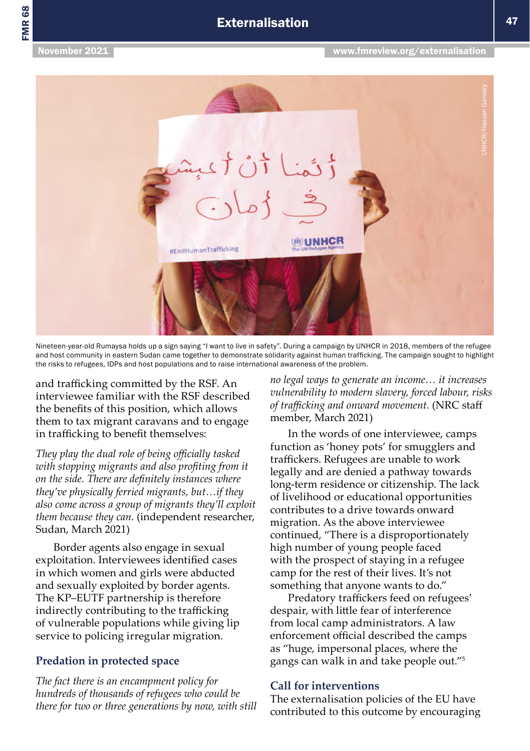

Nineteen-year-old Rumaysa holds up a sign saying "I want to live in safety". During a campaign by UNHCR in 2018, members of the refugee and host community in eastern Sudan came together to demonstrate solidarity against human trafficking. The campaign sought to highlight the risks to refugees, IDPs and host populations and to raise international awareness of the problem.

and trafficking committed by the RSF. An interviewee familiar with the RSF described the benefits of this position, which allows them to tax migrant caravans and to engage in trafficking to benefit themselves:

*They play the dual role of being officially tasked with stopping migrants and also profiting from it on the side. There are definitely instances where they've physically ferried migrants, but…if they also come across a group of migrants they'll exploit them because they can.* (independent researcher, Sudan, March 2021)

Border agents also engage in sexual exploitation. Interviewees identified cases in which women and girls were abducted and sexually exploited by border agents. The KP–EUTF partnership is therefore indirectly contributing to the trafficking of vulnerable populations while giving lip service to policing irregular migration.

# **Predation in protected space**

*The fact there is an encampment policy for hundreds of thousands of refugees who could be there for two or three generations by now, with still*  *no legal ways to generate an income… it increases vulnerability to modern slavery, forced labour, risks of trafficking and onward movement.* (NRC staff member, March 2021)

In the words of one interviewee, camps function as 'honey pots' for smugglers and traffickers. Refugees are unable to work legally and are denied a pathway towards long-term residence or citizenship. The lack of livelihood or educational opportunities contributes to a drive towards onward migration. As the above interviewee continued, "There is a disproportionately high number of young people faced with the prospect of staying in a refugee camp for the rest of their lives. It's not something that anyone wants to do."

Predatory traffickers feed on refugees' despair, with little fear of interference from local camp administrators. A law enforcement official described the camps as "huge, impersonal places, where the gangs can walk in and take people out."5

# **Call for interventions**

The externalisation policies of the EU have contributed to this outcome by encouraging